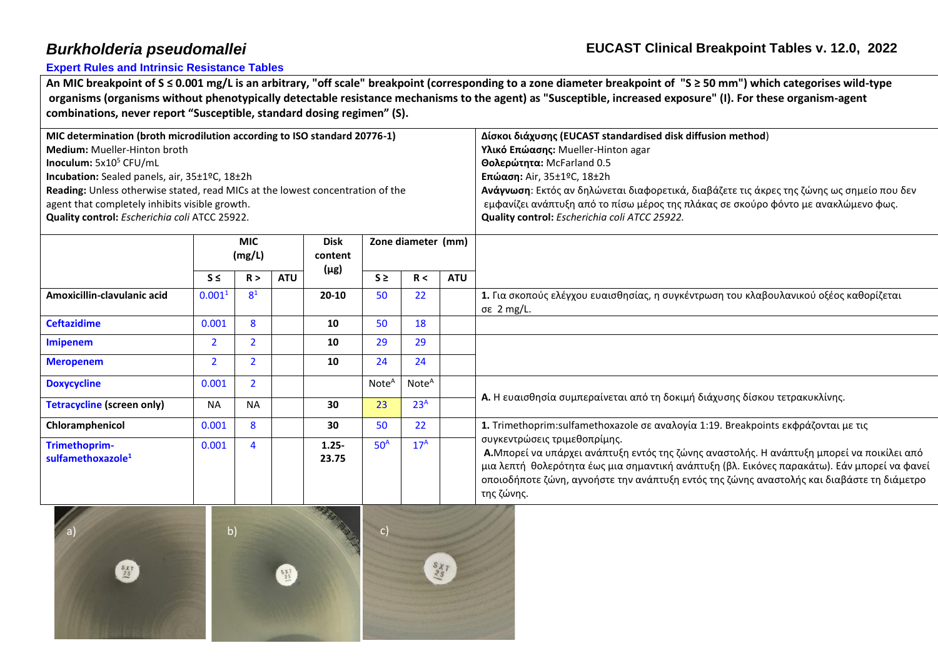**[Expert Rules and Intrinsic Resistance Tables](http://www.eucast.org/expert_rules_and_intrinsic_resistance/)**

**An MIC breakpoint of S ≤ 0.001 mg/L is an arbitrary, "off scale" breakpoint (corresponding to a zone diameter breakpoint of "S ≥ 50 mm") which categorises wild-type organisms (organisms without phenotypically detectable resistance mechanisms to the agent) as "Susceptible, increased exposure" (I). For these organism-agent combinations, never report "Susceptible, standard dosing regimen" (S).**

| MIC determination (broth microdilution according to ISO standard 20776-1)      |                      |                |            |             |                    |                   |            | Δίσκοι διάχυσης (EUCAST standardised disk diffusion method)                                                               |  |  |
|--------------------------------------------------------------------------------|----------------------|----------------|------------|-------------|--------------------|-------------------|------------|---------------------------------------------------------------------------------------------------------------------------|--|--|
| Medium: Mueller-Hinton broth                                                   |                      |                |            |             |                    |                   |            | Υλικό Επώασης: Mueller-Hinton agar                                                                                        |  |  |
| Inoculum: 5x10 <sup>5</sup> CFU/mL                                             |                      |                |            |             |                    |                   |            | Θολερώτητα: McFarland 0.5                                                                                                 |  |  |
| Incubation: Sealed panels, air, 35±1ºC, 18±2h                                  |                      |                |            |             |                    |                   |            | <b>Επώαση:</b> Air, 35±1ºC, 18±2h                                                                                         |  |  |
| Reading: Unless otherwise stated, read MICs at the lowest concentration of the |                      |                |            |             |                    |                   |            | Ανάγνωση: Εκτός αν δηλώνεται διαφορετικά, διαβάζετε τις άκρες της ζώνης ως σημείο που δεν                                 |  |  |
| agent that completely inhibits visible growth.                                 |                      |                |            |             |                    |                   |            | εμφανίζει ανάπτυξη από το πίσω μέρος της πλάκας σε σκούρο φόντο με ανακλώμενο φως.                                        |  |  |
| Quality control: Escherichia coli ATCC 25922.                                  |                      |                |            |             |                    |                   |            | Quality control: Escherichia coli ATCC 25922.                                                                             |  |  |
|                                                                                |                      |                |            |             |                    |                   |            |                                                                                                                           |  |  |
|                                                                                | <b>MIC</b><br>(mg/L) |                |            | <b>Disk</b> | Zone diameter (mm) |                   |            |                                                                                                                           |  |  |
|                                                                                |                      |                |            | content     |                    |                   |            |                                                                                                                           |  |  |
|                                                                                | $S \leq$             | R >            | <b>ATU</b> | $(\mu$ g)   | $S \geq$           | R <               | <b>ATU</b> |                                                                                                                           |  |  |
| Amoxicillin-clavulanic acid                                                    | 0.001 <sup>1</sup>   | 8 <sup>1</sup> |            | $20 - 10$   | 50                 | 22                |            | 1. Για σκοπούς ελέγχου ευαισθησίας, η συγκέντρωση του κλαβουλανικού οξέος καθορίζεται                                     |  |  |
|                                                                                |                      |                |            |             |                    |                   |            | σε 2 mg/L.                                                                                                                |  |  |
| <b>Ceftazidime</b>                                                             | 0.001                | 8              |            | 10          | 50                 | 18                |            |                                                                                                                           |  |  |
| <b>Imipenem</b>                                                                | $\overline{2}$       | $\overline{2}$ |            | 10          | 29                 | 29                |            |                                                                                                                           |  |  |
| <b>Meropenem</b>                                                               | $\overline{2}$       | $\overline{2}$ |            | 10          | 24                 | 24                |            |                                                                                                                           |  |  |
| <b>Doxycycline</b>                                                             | 0.001                | $\overline{2}$ |            |             | Note <sup>A</sup>  | Note <sup>A</sup> |            | Α. Η ευαισθησία συμπεραίνεται από τη δοκιμή διάχυσης δίσκου τετρακυκλίνης.                                                |  |  |
| <b>Tetracycline (screen only)</b>                                              | <b>NA</b>            | <b>NA</b>      |            | 30          | 23                 | 23 <sup>A</sup>   |            |                                                                                                                           |  |  |
|                                                                                |                      |                |            |             |                    |                   |            |                                                                                                                           |  |  |
| Chloramphenicol                                                                | 0.001                | 8              |            | 30          | 50                 | 22                |            | 1. Trimethoprim:sulfamethoxazole σε αναλογία 1:19. Breakpoints εκφράζονται με τις                                         |  |  |
| Trimethoprim-                                                                  | 0.001                | $\overline{4}$ |            | $1.25 -$    | 50 <sup>A</sup>    | 17 <sup>A</sup>   |            | συγκεντρώσεις τριμεθοπρίμης.<br>Α.Μπορεί να υπάρχει ανάπτυξη εντός της ζώνης αναστολής. Η ανάπτυξη μπορεί να ποικίλει από |  |  |
| sulfamethoxazole <sup>1</sup>                                                  |                      |                |            | 23.75       |                    |                   |            |                                                                                                                           |  |  |
|                                                                                |                      |                |            |             |                    |                   |            | μια λεπτή θολερότητα έως μια σημαντική ανάπτυξη (βλ. Εικόνες παρακάτω). Εάν μπορεί να φανεί                               |  |  |
|                                                                                |                      |                |            |             |                    |                   |            | οποιοδήποτε ζώνη, αγνοήστε την ανάπτυξη εντός της ζώνης αναστολής και διαβάστε τη διάμετρο                                |  |  |
|                                                                                |                      |                |            |             |                    |                   |            | της ζώνης.                                                                                                                |  |  |
| <b>State of the State of the State of the State</b>                            |                      |                |            | トラスト        |                    |                   |            |                                                                                                                           |  |  |